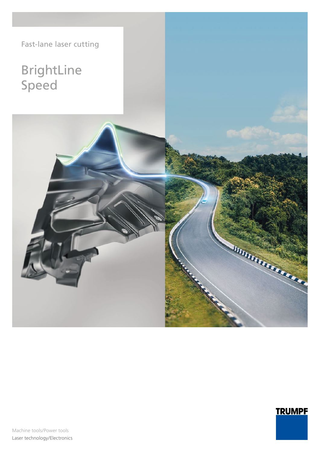